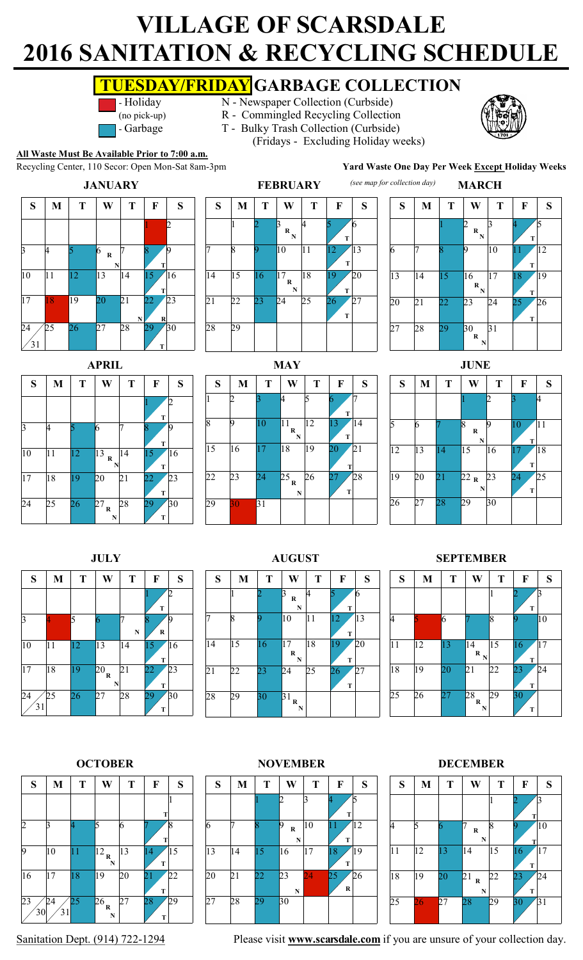# **VILLAGE OF SCARSDALE 2016 SANITATION & RECYCLING SCHEDULE**

## **TUESDAY/FRIDAY GARBAGE COLLECTION**

1 2

**T**

**T**

**T**

**N R**

- Holiday N Newspaper Collection (Curbside)
- (no pick-up) R Commingled Recycling Collection



(Fridays - Excluding Holiday weeks)



**All Waste Must Be Available Prior to 7:00 a.m.** Recycling Center, 110 Secor: Open Mon-Sat 8am-3pm

**JANUARY**

 $\mathbf{S}$  |  $\mathbf{M}$  |  $\mathbf{T}$  |  $\mathbf{W}$  |  $\mathbf{T}$  |  $\mathbf{F}$  |  $\mathbf{S}$ 

**R**

**N**

3 4 5 6 7 8 9

10 11 12 13 14 15 16

17 18 19 20 21 22 23

24 25 26 27 28 29 30

31





 $\mathbf{S}$  |  $\mathbf{M}$  |  $\mathbf{T}$  |  $\mathbf{W}$  |  $\mathbf{T}$  |  $\mathbf{F}$  |  $\mathbf{S}$ 

5 6 7 8 9 10 11

**R N**

12 13 14 15 16 17 18

19 20 21 22 R 23 24 25

**N**

26 27 28 29 30

1 2 3 4

**T**

**T**

**T**

**S M T W T F S**  $1 \angle 2$ 3 4 5 6 7 8 9 10  $11 \t |12 \t |13 \t |14 \t |15 \t |16$ 17 18 19 20 21 22 23 24 25 26 27 28 29 30 **APRIL MAY JUNE T T T T R R N N T**

| S            | M  | T  | W                    | T  | $\mathbf F$ | S  |
|--------------|----|----|----------------------|----|-------------|----|
| $\mathbf{1}$ | າ  |    | 4                    | ς  | 6<br>T      |    |
| 8            | Q  | 10 | 11<br>R<br>${\bf N}$ | 12 | 13<br>T     | 14 |
| 15           | 16 | 17 | 18                   | 19 | 20<br>T     | 21 |
| 22           | 23 | 24 | 25<br>R<br>${\bf N}$ | 26 | 27<br>T     | 28 |
| 29           | 30 | 31 |                      |    |             |    |

| S        | M  | T  | W                      | T           | F                 | S  |
|----------|----|----|------------------------|-------------|-------------------|----|
|          |    |    |                        |             | T                 |    |
|          |    | 5  | 6                      | $\mathbf N$ | 8<br>${\bf R}$    | Q  |
| 10       | 11 | 12 | 13                     | 14          | 15<br>T           | 16 |
| 17       | 18 | 19 | $\overline{20}_R$<br>N | 21          | 22<br>$\mathbf T$ | 23 |
| 24<br>31 | 25 | 26 | 27                     | 28          | 29<br>T           | 30 |

|   | S  | S  | M  | T  | W                      | Т  | F  | S  | S  | M  | T  | W                       | T  | F  |
|---|----|----|----|----|------------------------|----|----|----|----|----|----|-------------------------|----|----|
|   |    |    |    |    | ١z<br>$\mathbf R$      |    |    | 16 |    |    |    |                         |    |    |
|   |    |    |    |    | N                      |    | T  |    |    |    |    |                         |    |    |
|   |    |    | 8  | g  | 10                     | 11 | 12 | 13 |    |    | 6  |                         | 8  |    |
|   |    |    |    |    |                        |    | T  |    |    |    |    |                         |    |    |
|   | 16 | 14 | 15 | 16 | 17                     | 18 | 19 | 20 | 11 | 12 | 13 | 14                      | 15 | 16 |
| т |    |    |    |    | $\bf R$<br>$\mathbf N$ |    | T  |    |    |    |    | $\bf{R}$<br>$\mathbf N$ |    |    |
|   | 23 | 21 | 22 | 23 | 24                     | 25 | 26 | 27 | 18 | 19 | 20 | 21                      | 22 | 23 |
|   |    |    |    |    |                        |    | T  |    |    |    |    |                         |    |    |
|   | 30 | 28 | 29 | 30 | 31<br>$\mathbf R$      |    |    |    | 25 | 26 | 27 | 28                      | 29 | 30 |
| т |    |    |    |    | $\mathbf N$            |    |    |    |    |    |    | R<br>$\mathbf N$        |    | T  |

### **JULY AUGUST SEPTEMBER**

| F<br>S   | S<br>M | T<br>W                             | T  | F       | S  |
|----------|--------|------------------------------------|----|---------|----|
|          |        |                                    |    | T       |    |
| 4        |        | 6                                  | l8 | Q       | 10 |
| 12<br>11 |        | 13<br>14<br>$R_{N}$                | 15 | 16<br>T | 17 |
| 18<br>19 |        | $\sqrt{21}$<br>20                  | 22 | 23<br>T | 24 |
| 25<br>26 |        | 28<br>27<br>${\bf R}$<br>${\bf N}$ | 29 | 30<br>T |    |





**OCTOBER NOVEMBER DECEMBER**



Sanitation Dept. (914) 722-1294 Please visit **www.scarsdale.com** if you are unsure of your collection day.